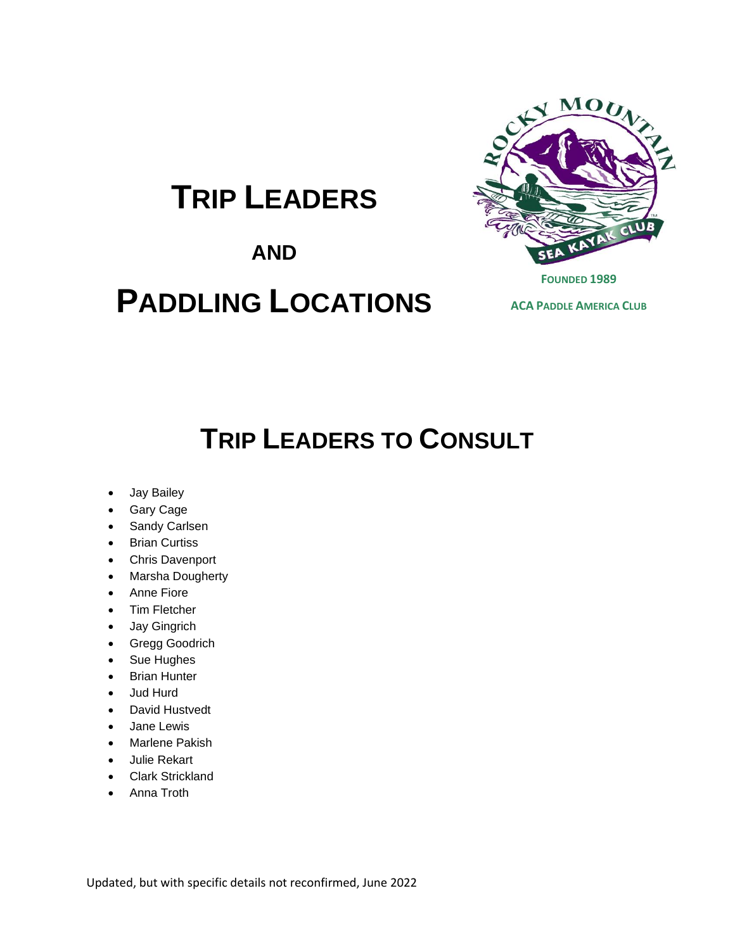# **TRIP LEADERS**

### **AND**

# **PADDLING LOCATIONS**



**ACA PADDLE AMERICA CLUB**

# **TRIP LEADERS TO CONSULT**

- Jay Bailey
- Gary Cage
- Sandy Carlsen
- Brian Curtiss
- Chris Davenport
- Marsha Dougherty
- Anne Fiore
- Tim Fletcher
- Jay Gingrich
- Gregg Goodrich
- Sue Hughes
- Brian Hunter
- Jud Hurd
- David Hustvedt
- Jane Lewis
- Marlene Pakish
- Julie Rekart
- Clark Strickland
- Anna Troth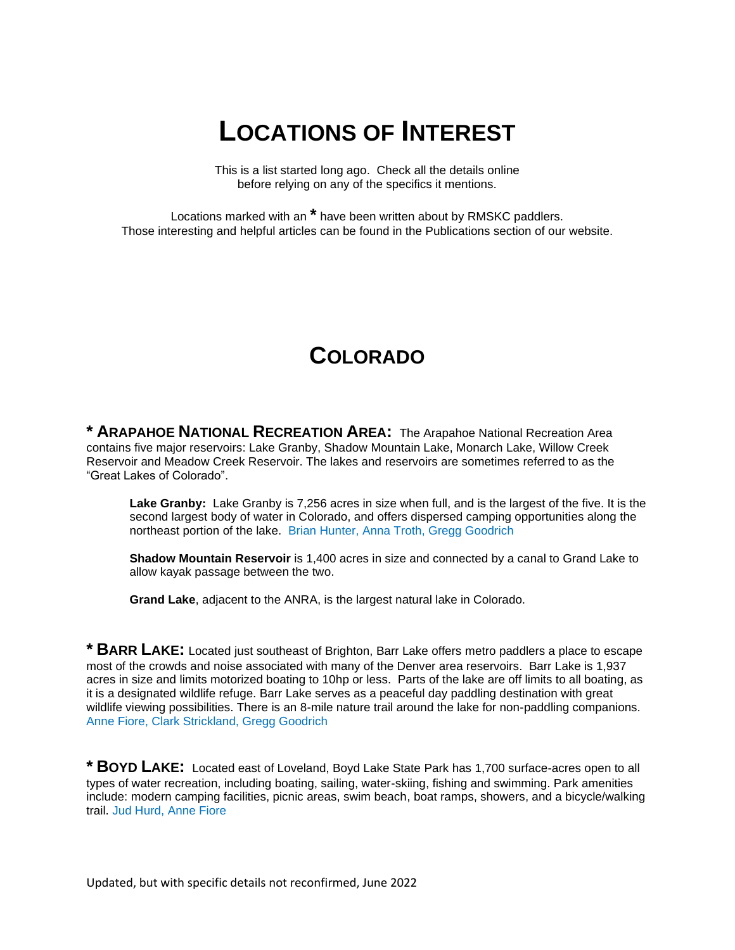# **LOCATIONS OF INTEREST**

This is a list started long ago. Check all the details online before relying on any of the specifics it mentions.

Locations marked with an **\*** have been written about by RMSKC paddlers. Those interesting and helpful articles can be found in the Publications section of our website.

#### **COLORADO**

**\* ARAPAHOE NATIONAL RECREATION AREA:** The Arapahoe National Recreation Area contains five major reservoirs: Lake Granby, Shadow Mountain Lake, Monarch Lake, Willow Creek Reservoir and Meadow Creek Reservoir. The lakes and reservoirs are sometimes referred to as the "Great Lakes of Colorado".

**Lake Granby:** Lake Granby is 7,256 acres in size when full, and is the largest of the five. It is the second largest body of water in Colorado, and offers dispersed camping opportunities along the northeast portion of the lake. Brian Hunter, Anna Troth, Gregg Goodrich

**Shadow Mountain Reservoir** is 1,400 acres in size and connected by a canal to Grand Lake to allow kayak passage between the two.

**Grand Lake**, adjacent to the ANRA, is the largest natural lake in Colorado.

**\* BARR LAKE:** Located just southeast of Brighton, Barr Lake offers metro paddlers a place to escape most of the crowds and noise associated with many of the Denver area reservoirs. Barr Lake is 1,937 acres in size and limits motorized boating to 10hp or less. Parts of the lake are off limits to all boating, as it is a designated wildlife refuge. Barr Lake serves as a peaceful day paddling destination with great wildlife viewing possibilities. There is an 8-mile nature trail around the lake for non-paddling companions. Anne Fiore, Clark Strickland, Gregg Goodrich

**\* BOYD LAKE:** Located east of Loveland, Boyd Lake State Park has 1,700 surface-acres open to all types of water recreation, including boating, sailing, water-skiing, fishing and swimming. Park amenities include: modern camping facilities, picnic areas, swim beach, boat ramps, showers, and a bicycle/walking trail. Jud Hurd, Anne Fiore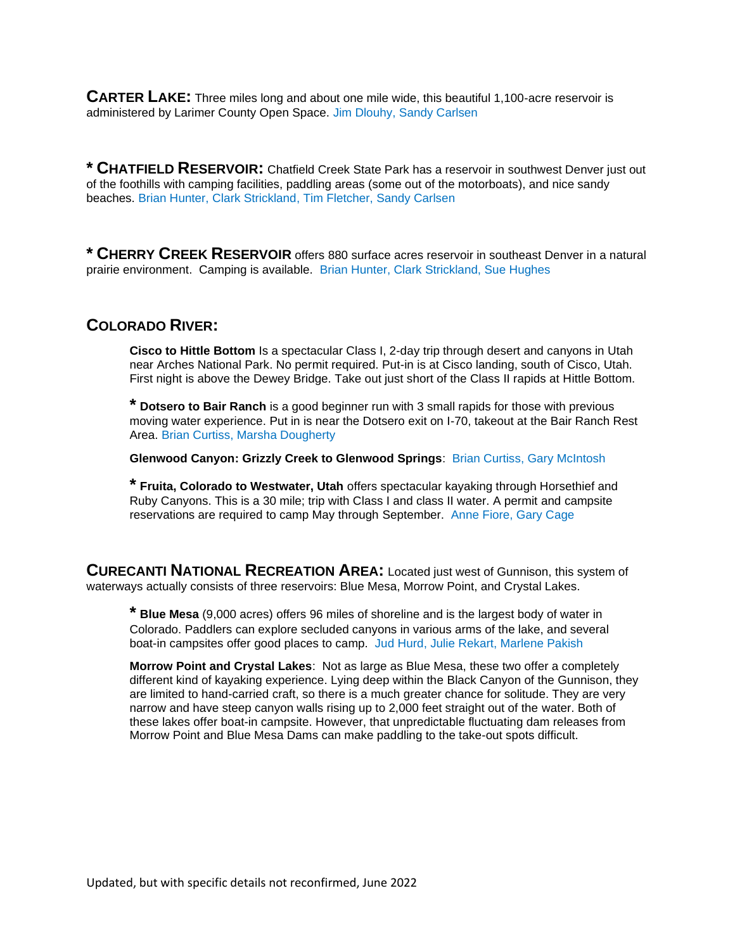**CARTER LAKE:** Three miles long and about one mile wide, this beautiful 1,100-acre reservoir is administered by Larimer County Open Space. Jim Dlouhy, Sandy Carlsen

**\* CHATFIELD RESERVOIR:** Chatfield Creek State Park has a reservoir in southwest Denver just out of the foothills with camping facilities, paddling areas (some out of the motorboats), and nice sandy beaches. Brian Hunter, Clark Strickland, Tim Fletcher, Sandy Carlsen

**\* CHERRY CREEK RESERVOIR** offers 880 surface acres reservoir in southeast Denver in a natural prairie environment. Camping is available. Brian Hunter, Clark Strickland, Sue Hughes

#### **COLORADO RIVER:**

**Cisco to Hittle Bottom** Is a spectacular Class I, 2-day trip through desert and canyons in Utah near Arches National Park. No permit required. Put-in is at Cisco landing, south of Cisco, Utah. First night is above the Dewey Bridge. Take out just short of the Class II rapids at Hittle Bottom.

**\* Dotsero to Bair Ranch** is a good beginner run with 3 small rapids for those with previous moving water experience. Put in is near the Dotsero exit on I-70, takeout at the Bair Ranch Rest Area. Brian Curtiss, Marsha Dougherty

**Glenwood Canyon: Grizzly Creek to Glenwood Springs**: Brian Curtiss, Gary McIntosh

**\* Fruita, Colorado to Westwater, Utah** offers spectacular kayaking through Horsethief and Ruby Canyons. This is a 30 mile; trip with Class I and class II water. A permit and campsite reservations are required to camp May through September. Anne Fiore, Gary Cage

**CURECANTI NATIONAL RECREATION AREA:** Located just west of Gunnison, this system of waterways actually consists of three reservoirs: Blue Mesa, Morrow Point, and Crystal Lakes.

**\* Blue Mesa** (9,000 acres) offers 96 miles of shoreline and is the largest body of water in Colorado. Paddlers can explore secluded canyons in various arms of the lake, and several boat-in campsites offer good places to camp. Jud Hurd, Julie Rekart, Marlene Pakish

**Morrow Point and Crystal Lakes**: Not as large as Blue Mesa, these two offer a completely different kind of kayaking experience. Lying deep within the Black Canyon of the Gunnison, they are limited to hand-carried craft, so there is a much greater chance for solitude. They are very narrow and have steep canyon walls rising up to 2,000 feet straight out of the water. Both of these lakes offer boat-in campsite. However, that unpredictable fluctuating dam releases from Morrow Point and Blue Mesa Dams can make paddling to the take-out spots difficult.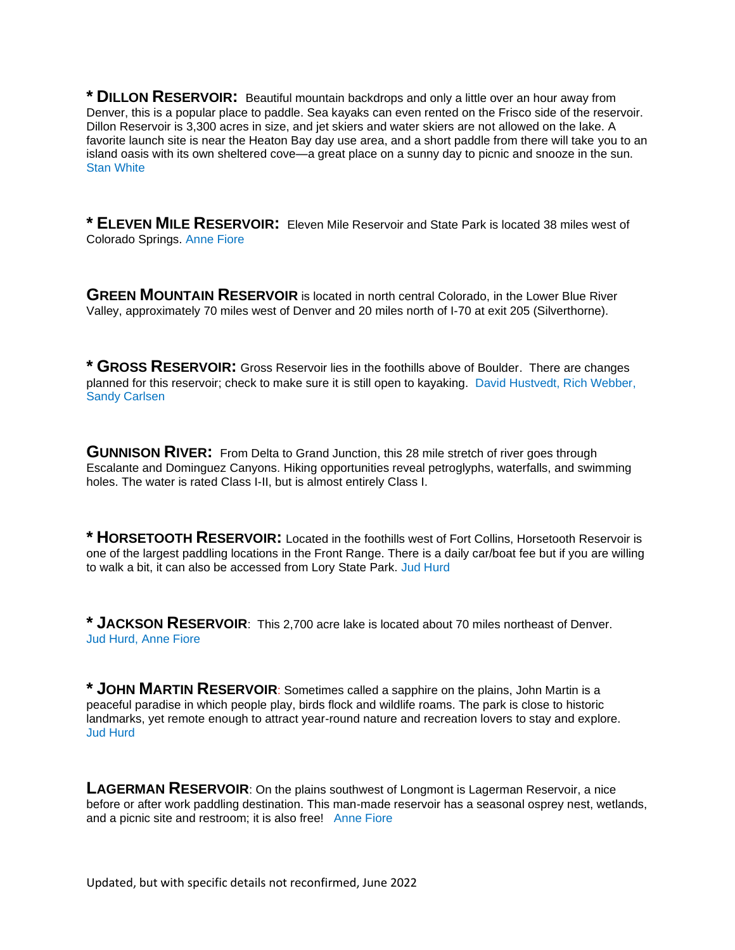**\* DILLON RESERVOIR:** Beautiful mountain backdrops and only a little over an hour away from Denver, this is a popular place to paddle. Sea kayaks can even rented on the Frisco side of the reservoir. Dillon Reservoir is 3,300 acres in size, and jet skiers and water skiers are not allowed on the lake. A favorite launch site is near the Heaton Bay day use area, and a short paddle from there will take you to an island oasis with its own sheltered cove—a great place on a sunny day to picnic and snooze in the sun. Stan White

**\* ELEVEN MILE RESERVOIR:** Eleven Mile Reservoir and State Park is located 38 miles west of Colorado Springs. Anne Fiore

**GREEN MOUNTAIN RESERVOIR** is located in north central Colorado, in the Lower Blue River Valley, approximately 70 miles west of Denver and 20 miles north of I-70 at exit 205 (Silverthorne).

**\* GROSS RESERVOIR:** Gross Reservoir lies in the foothills above of Boulder. There are changes planned for this reservoir; check to make sure it is still open to kayaking. David Hustvedt, Rich Webber, Sandy Carlsen

**GUNNISON RIVER:** From Delta to Grand Junction, this 28 mile stretch of river goes through Escalante and Dominguez Canyons. Hiking opportunities reveal petroglyphs, waterfalls, and swimming holes. The water is rated Class I-II, but is almost entirely Class I.

**\* HORSETOOTH RESERVOIR:** Located in the foothills west of Fort Collins, Horsetooth Reservoir is one of the largest paddling locations in the Front Range. There is a daily car/boat fee but if you are willing to walk a bit, it can also be accessed from Lory State Park. Jud Hurd

**\* JACKSON RESERVOIR**: This 2,700 acre lake is located about 70 miles northeast of Denver. Jud Hurd, Anne Fiore

**\* JOHN MARTIN RESERVOIR**: Sometimes called a sapphire on the plains, John Martin is a peaceful paradise in which people play, birds flock and wildlife roams. The park is close to historic landmarks, yet remote enough to attract year-round nature and recreation lovers to stay and explore. Jud Hurd

**LAGERMAN RESERVOIR**: On the plains southwest of Longmont is Lagerman Reservoir, a nice before or after work paddling destination. This man-made reservoir has a seasonal osprey nest, wetlands, and a picnic site and restroom; it is also free! Anne Fiore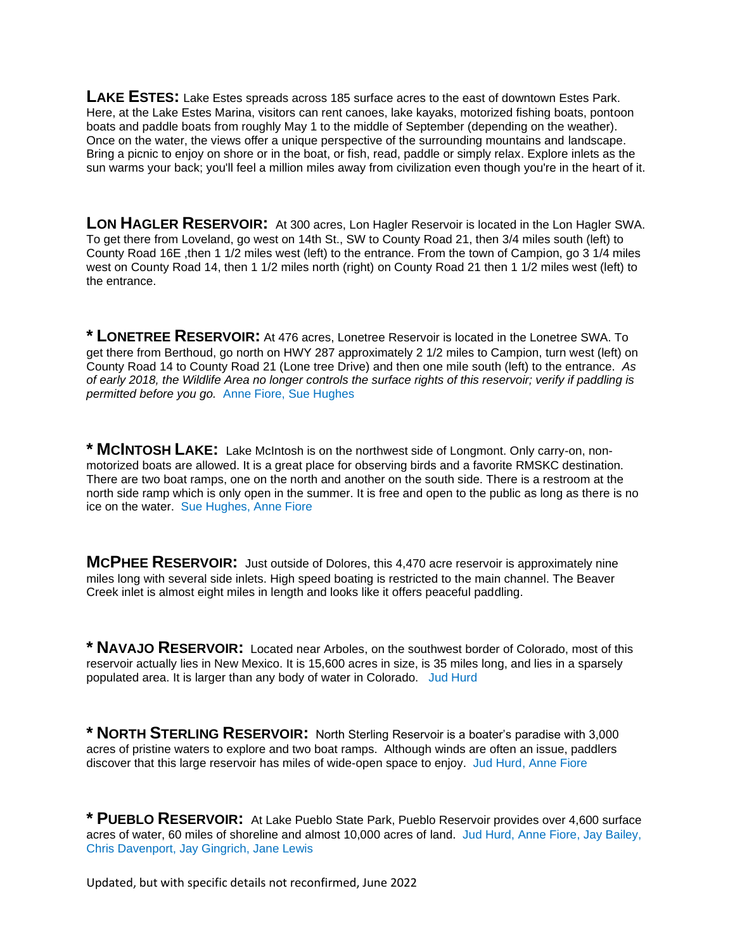**LAKE ESTES:** Lake Estes spreads across 185 surface acres to the east of downtown Estes Park. Here, at the Lake Estes Marina, visitors can rent canoes, lake kayaks, motorized fishing boats, pontoon boats and paddle boats from roughly May 1 to the middle of September (depending on the weather). Once on the water, the views offer a unique perspective of the surrounding mountains and landscape. Bring a picnic to enjoy on shore or in the boat, or fish, read, paddle or simply relax. Explore inlets as the sun warms your back; you'll feel a million miles away from civilization even though you're in the heart of it.

**LON HAGLER RESERVOIR:** At 300 acres, Lon Hagler Reservoir is located in the Lon Hagler SWA. To get there from Loveland, go west on 14th St., SW to County Road 21, then 3/4 miles south (left) to County Road 16E ,then 1 1/2 miles west (left) to the entrance. From the town of Campion, go 3 1/4 miles west on County Road 14, then 1 1/2 miles north (right) on County Road 21 then 1 1/2 miles west (left) to the entrance.

**\* LONETREE RESERVOIR:** At 476 acres, Lonetree Reservoir is located in the Lonetree SWA. To get there from Berthoud, go north on HWY 287 approximately 2 1/2 miles to Campion, turn west (left) on County Road 14 to County Road 21 (Lone tree Drive) and then one mile south (left) to the entrance. *As of early 2018, the Wildlife Area no longer controls the surface rights of this reservoir; verify if paddling is permitted before you go.* Anne Fiore, Sue Hughes

**\* MCINTOSH LAKE:** Lake McIntosh is on the northwest side of Longmont. Only carry-on, nonmotorized boats are allowed. It is a great place for observing birds and a favorite RMSKC destination. There are two boat ramps, one on the north and another on the south side. There is a restroom at the north side ramp which is only open in the summer. It is free and open to the public as long as there is no ice on the water. Sue Hughes, Anne Fiore

**MCPHEE RESERVOIR:** Just outside of Dolores, this 4,470 acre reservoir is approximately nine miles long with several side inlets. High speed boating is restricted to the main channel. The Beaver Creek inlet is almost eight miles in length and looks like it offers peaceful paddling.

**\* NAVAJO RESERVOIR:** Located near Arboles, on the southwest border of Colorado, most of this reservoir actually lies in New Mexico. It is 15,600 acres in size, is 35 miles long, and lies in a sparsely populated area. It is larger than any body of water in Colorado. Jud Hurd

**\* NORTH STERLING RESERVOIR:** North Sterling Reservoir is a boater's paradise with 3,000 acres of pristine waters to explore and two boat ramps. Although winds are often an issue, paddlers discover that this large reservoir has miles of wide-open space to enjoy. Jud Hurd, Anne Fiore

**\* PUEBLO RESERVOIR:** At Lake Pueblo State Park, Pueblo Reservoir provides over 4,600 surface acres of water, 60 miles of shoreline and almost 10,000 acres of land. Jud Hurd, Anne Fiore, Jay Bailey, Chris Davenport, Jay Gingrich, Jane Lewis

Updated, but with specific details not reconfirmed, June 2022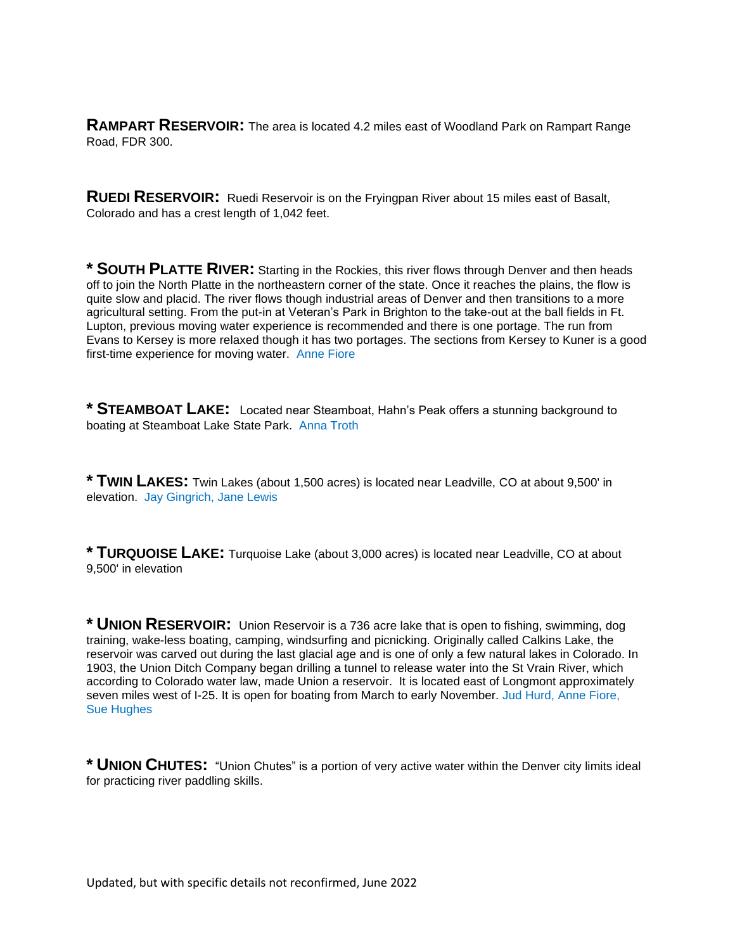**RAMPART RESERVOIR:** The area is located 4.2 miles east of Woodland Park on Rampart Range Road, FDR 300.

**RUEDI RESERVOIR:** Ruedi Reservoir is on the Fryingpan River about 15 miles east of Basalt, Colorado and has a crest length of 1,042 feet.

**\* SOUTH PLATTE RIVER:** Starting in the Rockies, this river flows through Denver and then heads off to join the North Platte in the northeastern corner of the state. Once it reaches the plains, the flow is quite slow and placid. The river flows though industrial areas of Denver and then transitions to a more agricultural setting. From the put-in at Veteran's Park in Brighton to the take-out at the ball fields in Ft. Lupton, previous moving water experience is recommended and there is one portage. The run from Evans to Kersey is more relaxed though it has two portages. The sections from Kersey to Kuner is a good first-time experience for moving water. Anne Fiore

**\* STEAMBOAT LAKE:** Located near Steamboat, Hahn's Peak offers a stunning background to boating at Steamboat Lake State Park. Anna Troth

**\* TWIN LAKES:** Twin Lakes (about 1,500 acres) is located near Leadville, CO at about 9,500' in elevation. Jay Gingrich, Jane Lewis

**\* TURQUOISE LAKE:** Turquoise Lake (about 3,000 acres) is located near Leadville, CO at about 9,500' in elevation

**\* UNION RESERVOIR:** Union Reservoir is a 736 acre lake that is open to fishing, swimming, dog training, wake-less boating, camping, windsurfing and picnicking. Originally called Calkins Lake, the reservoir was carved out during the last glacial age and is one of only a few natural lakes in Colorado. In 1903, the Union Ditch Company began drilling a tunnel to release water into the St Vrain River, which according to Colorado water law, made Union a reservoir. It is located east of Longmont approximately seven miles west of I-25. It is open for boating from March to early November. Jud Hurd, Anne Fiore, Sue Hughes

**\* UNION CHUTES:** "Union Chutes" is a portion of very active water within the Denver city limits ideal for practicing river paddling skills.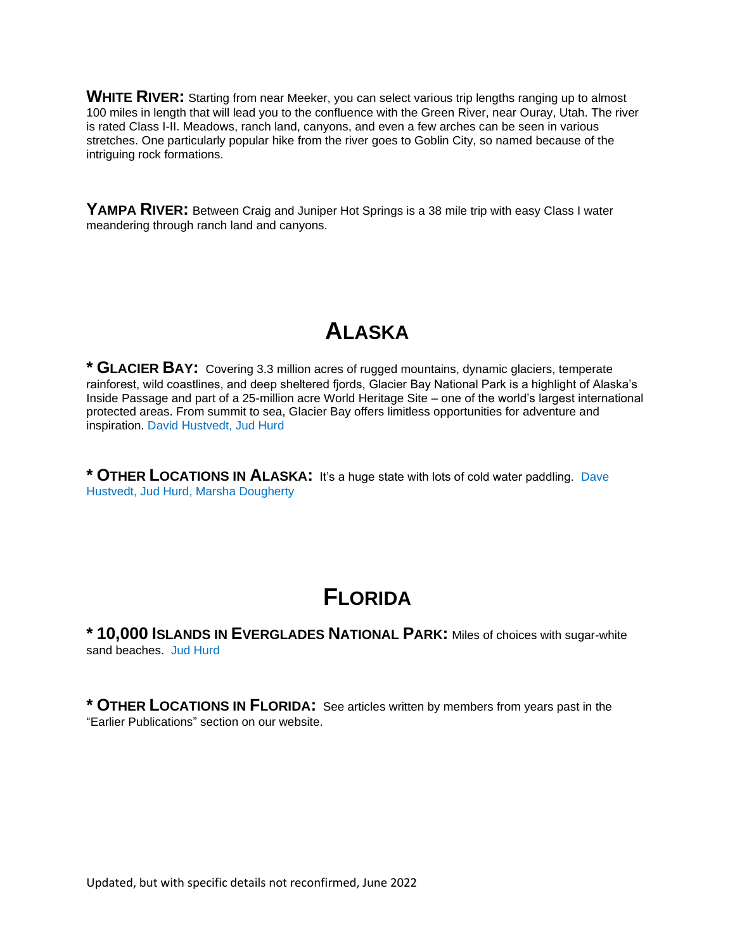**WHITE RIVER:** Starting from near Meeker, you can select various trip lengths ranging up to almost 100 miles in length that will lead you to the confluence with the Green River, near Ouray, Utah. The river is rated Class I-II. Meadows, ranch land, canyons, and even a few arches can be seen in various stretches. One particularly popular hike from the river goes to Goblin City, so named because of the intriguing rock formations.

**YAMPA RIVER:** Between Craig and Juniper Hot Springs is a 38 mile trip with easy Class I water meandering through ranch land and canyons.

# **ALASKA**

**\* GLACIER BAY:** Covering 3.3 million acres of rugged mountains, dynamic glaciers, temperate rainforest, wild coastlines, and deep sheltered fjords, Glacier Bay National Park is a highlight of Alaska's Inside Passage and part of a 25-million acre World Heritage Site – one of the world's largest international protected areas. From summit to sea, Glacier Bay offers limitless opportunities for adventure and inspiration. David Hustvedt, Jud Hurd

**\* OTHER LOCATIONS IN ALASKA:** It's a huge state with lots of cold water paddling. Dave Hustvedt, Jud Hurd, Marsha Dougherty

# **FLORIDA**

**\* 10,000 ISLANDS IN EVERGLADES NATIONAL PARK:** Miles of choices with sugar-white sand beaches. Jud Hurd

**\* OTHER LOCATIONS IN FLORIDA:** See articles written by members from years past in the "Earlier Publications" section on our website.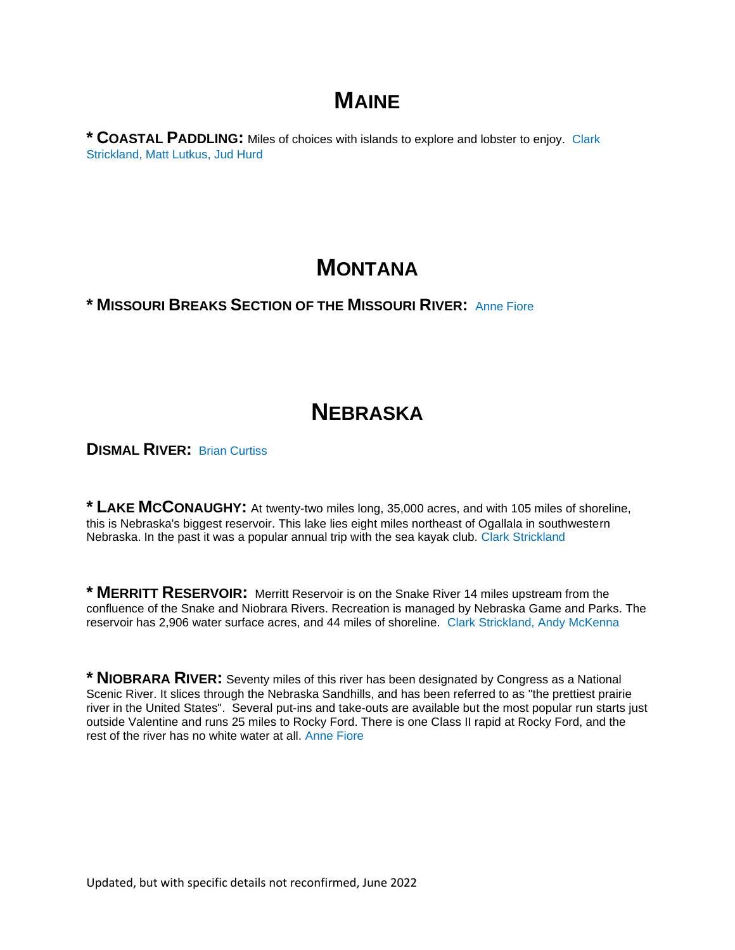## **MAINE**

**\* COASTAL PADDLING:** Miles of choices with islands to explore and lobster to enjoy. Clark Strickland, Matt Lutkus, Jud Hurd

### **MONTANA**

#### **\* MISSOURI BREAKS SECTION OF THE MISSOURI RIVER:** Anne Fiore

# **NEBRASKA**

**DISMAL RIVER:** Brian Curtiss

**\* LAKE MCCONAUGHY:** At twenty-two miles long, 35,000 acres, and with 105 miles of shoreline, this is Nebraska's biggest reservoir. This lake lies eight miles northeast of Ogallala in southwestern Nebraska. In the past it was a popular annual trip with the sea kayak club. Clark Strickland

**\* MERRITT RESERVOIR:** Merritt Reservoir is on the Snake River 14 miles upstream from the confluence of the Snake and Niobrara Rivers. Recreation is managed by Nebraska Game and Parks. The reservoir has 2,906 water surface acres, and 44 miles of shoreline. Clark Strickland, Andy McKenna

**\* NIOBRARA RIVER:** Seventy miles of this river has been designated by Congress as a National Scenic River. It slices through the Nebraska Sandhills, and has been referred to as "the prettiest prairie river in the United States". Several put-ins and take-outs are available but the most popular run starts just outside Valentine and runs 25 miles to Rocky Ford. There is one Class II rapid at Rocky Ford, and the rest of the river has no white water at all. Anne Fiore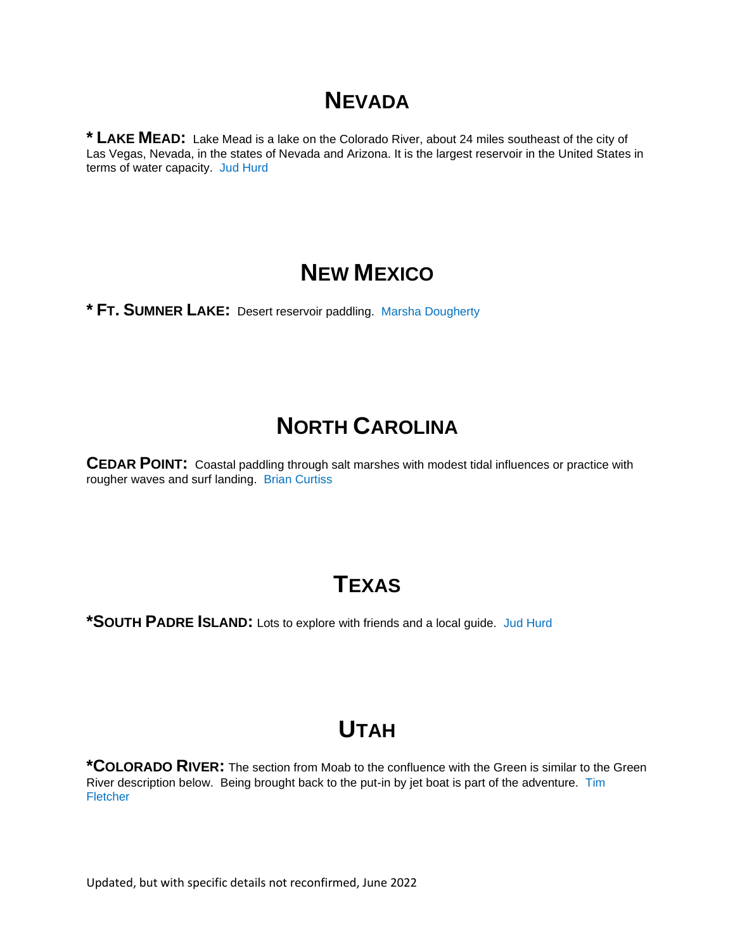# **NEVADA**

**\* LAKE MEAD:** Lake Mead is a lake on the Colorado River, about 24 miles southeast of the city of Las Vegas, Nevada, in the states of Nevada and Arizona. It is the largest reservoir in the United States in terms of water capacity. Jud Hurd

### **NEW MEXICO**

**\* FT. SUMNER LAKE:** Desert reservoir paddling. Marsha Dougherty

# **NORTH CAROLINA**

**CEDAR POINT:** Coastal paddling through salt marshes with modest tidal influences or practice with rougher waves and surf landing. Brian Curtiss

## **TEXAS**

**\*SOUTH PADRE ISLAND:** Lots to explore with friends and a local guide. Jud Hurd

# **UTAH**

**\*COLORADO RIVER:** The section from Moab to the confluence with the Green is similar to the Green River description below. Being brought back to the put-in by jet boat is part of the adventure. Tim **Fletcher** 

Updated, but with specific details not reconfirmed, June 2022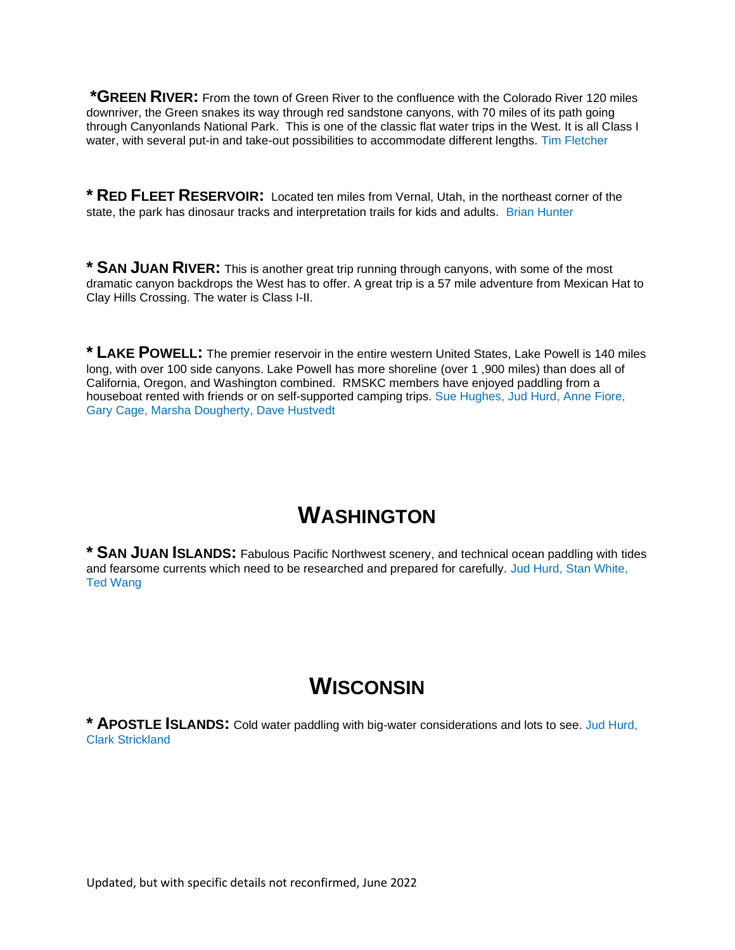**\*GREEN RIVER:** From the town of Green River to the confluence with the Colorado River 120 miles downriver, the Green snakes its way through red sandstone canyons, with 70 miles of its path going through Canyonlands National Park. This is one of the classic flat water trips in the West. It is all Class I water, with several put-in and take-out possibilities to accommodate different lengths. Tim Fletcher

**\* RED FLEET RESERVOIR:** Located ten miles from Vernal, Utah, in the northeast corner of the state, the park has dinosaur tracks and interpretation trails for kids and adults. Brian Hunter

**\* SAN JUAN RIVER:** This is another great trip running through canyons, with some of the most dramatic canyon backdrops the West has to offer. A great trip is a 57 mile adventure from Mexican Hat to Clay Hills Crossing. The water is Class I-II.

**\* LAKE POWELL:** The premier reservoir in the entire western United States, Lake Powell is 140 miles long, with over 100 side canyons. Lake Powell has more shoreline (over 1,900 miles) than does all of California, Oregon, and Washington combined. RMSKC members have enjoyed paddling from a houseboat rented with friends or on self-supported camping trips. Sue Hughes, Jud Hurd, Anne Fiore, Gary Cage, Marsha Dougherty, Dave Hustvedt

## **WASHINGTON**

**\* SAN JUAN ISLANDS:** Fabulous Pacific Northwest scenery, and technical ocean paddling with tides and fearsome currents which need to be researched and prepared for carefully. Jud Hurd, Stan White, Ted Wang

## **WISCONSIN**

**\* APOSTLE ISLANDS:** Cold water paddling with big-water considerations and lots to see. Jud Hurd, Clark Strickland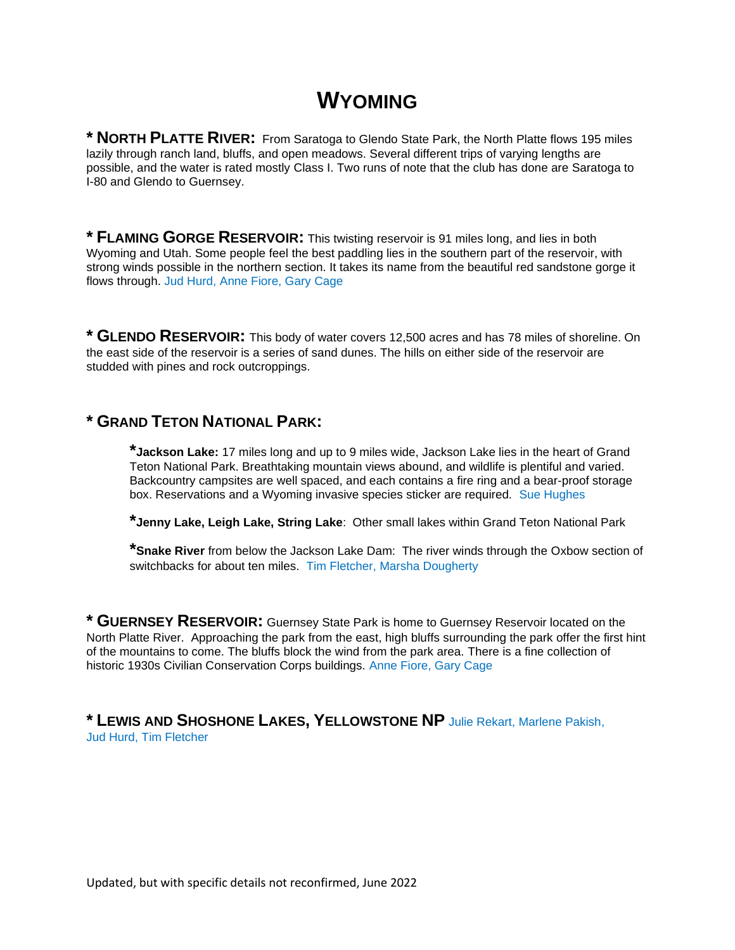## **WYOMING**

**\* NORTH PLATTE RIVER:** From Saratoga to Glendo State Park, the North Platte flows 195 miles lazily through ranch land, bluffs, and open meadows. Several different trips of varying lengths are possible, and the water is rated mostly Class I. Two runs of note that the club has done are Saratoga to I-80 and Glendo to Guernsey.

**\* FLAMING GORGE RESERVOIR:** This twisting reservoir is 91 miles long, and lies in both Wyoming and Utah. Some people feel the best paddling lies in the southern part of the reservoir, with strong winds possible in the northern section. It takes its name from the beautiful red sandstone gorge it flows through. Jud Hurd, Anne Fiore, Gary Cage

**\* GLENDO RESERVOIR:** This body of water covers 12,500 acres and has 78 miles of shoreline. On the east side of the reservoir is a series of sand dunes. The hills on either side of the reservoir are studded with pines and rock outcroppings.

#### **\* GRAND TETON NATIONAL PARK:**

**\*Jackson Lake:** 17 miles long and up to 9 miles wide, Jackson Lake lies in the heart of Grand Teton National Park. Breathtaking mountain views abound, and wildlife is plentiful and varied. Backcountry campsites are well spaced, and each contains a fire ring and a bear-proof storage box. Reservations and a Wyoming invasive species sticker are required. Sue Hughes

**\*Jenny Lake, Leigh Lake, String Lake**: Other small lakes within Grand Teton National Park

**\*Snake River** from below the Jackson Lake Dam: The river winds through the Oxbow section of switchbacks for about ten miles. Tim Fletcher, Marsha Dougherty

**\* GUERNSEY RESERVOIR:** Guernsey State Park is home to Guernsey Reservoir located on the North Platte River. Approaching the park from the east, high bluffs surrounding the park offer the first hint of the mountains to come. The bluffs block the wind from the park area. There is a fine collection of historic 1930s Civilian Conservation Corps buildings. Anne Fiore, Gary Cage

**\* LEWIS AND SHOSHONE LAKES, YELLOWSTONE NP** Julie Rekart, Marlene Pakish, Jud Hurd, Tim Fletcher